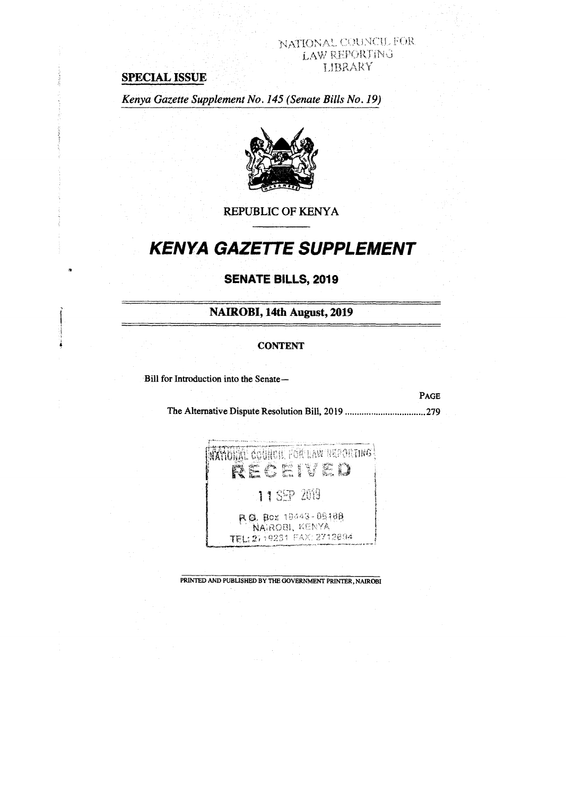# NATIONAL COUNCIL FOR LAW REPORTING LIBRARY

# **SPECIAL ISSUE**

*Kenya Gazette Supplement No. 145 (Senate Bills No. 19)* 



**REPUBLIC OF KENYA** 

# **KENYA GAZETTE SUPPLEMENT**

# **SENATE BILLS, 2019**

**NAIROBI, 14th August, 2019** 

#### **CONTENT**

Bill for Introduction into the Senate—

**PAGE**  The Alternative Dispute Resolution Bill, 2019 279



PRINTED AND PUBLISHED BY THE GOVERNMENT PRINTER, NAIROBI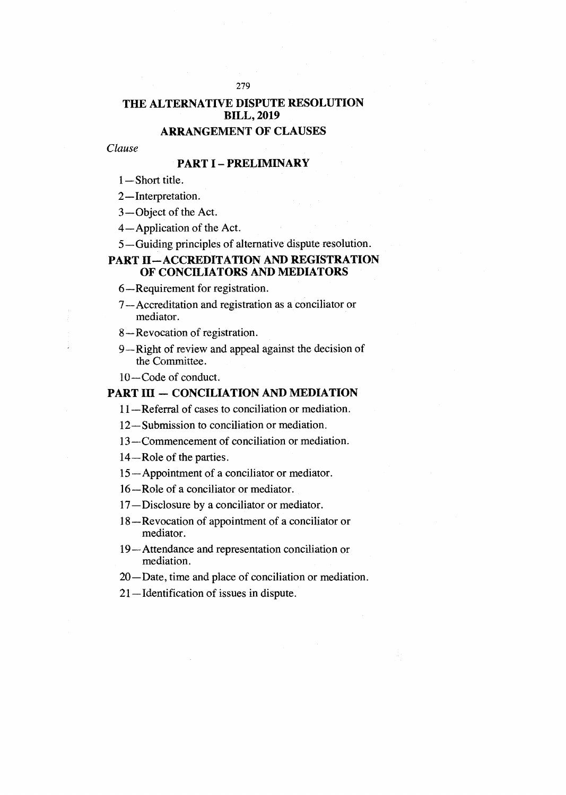# **THE ALTERNATIVE DISPUTE RESOLUTION BILL, 2019**

# **ARRANGEMENT OF CLAUSES**

#### *Clause*

### **PART I — PRELIMINARY**

- 1—Short title.
- 2—Interpretation.
- 3—Object of the Act.
- 4—Application of the Act.
- 5—Guiding principles of alternative dispute resolution.

### **PART H—ACCREDITATION AND REGISTRATION OF CONCILIATORS AND MEDIATORS**

- **6—Requirement** for registration.
- 7—Accreditation and registration as a conciliator or mediator.
- 8—Revocation of registration.
- 9—Right of review and appeal against the decision of the Committee.
- 10—Code of conduct.

#### **PART HI — CONCILIATION AND MEDIATION**

- 11—Referral of cases to conciliation or mediation.
- 12—Submission to conciliation or mediation.
- 13—Commencement of conciliation or mediation.
- 14—Role of the parties.
- 15—Appointment of a conciliator or mediator.
- 16—Role of a conciliator or mediator.
- 17—Disclosure by a conciliator or mediator.
- 18—Revocation of appointment of a conciliator or mediator.
- 19—Attendance and representation conciliation or mediation.
- 20—Date, time and place of conciliation or mediation.
- 21—Identification of issues in dispute.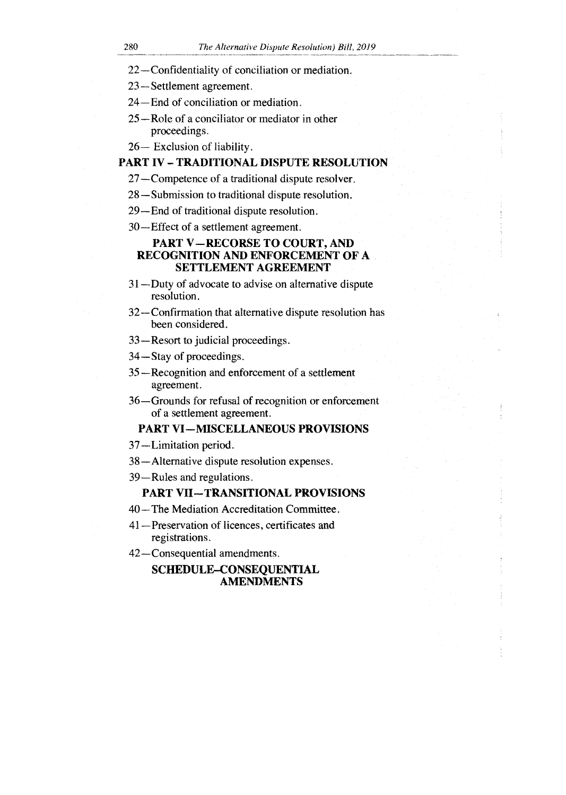- 22—Confidentiality of conciliation or mediation.
- 23—Settlement agreement.
- 24—End of conciliation or mediation.
- 25—Role of a conciliator or mediator in other proceedings.
- 26— Exclusion of liability.

#### PART IV — TRADITIONAL DISPUTE RESOLUTION

- 27—Competence of a traditional dispute resolver.
- 28—Submission to traditional dispute resolution.
- 29—End of traditional dispute resolution.
- 30—Effect of a settlement agreement.

## PART V—RECORSE TO COURT, AND RECOGNITION AND ENFORCEMENT OF A SETTLEMENT AGREEMENT

- 31—Duty of advocate to advise on alternative dispute resolution.
- 32—Confirmation that alternative dispute resolution has been considered.
- 33—Resort to judicial proceedings.
- 34—Stay of proceedings.
- 35—Recognition and enforcement of a settlement agreement.
- 36—Grounds for refusal of recognition or enforcement of a settlement agreement.

#### PART VI—MISCELLANEOUS PROVISIONS

- 37—Limitation period.
- 38—Alternative dispute resolution expenses.
- 39—Rules and regulations.

#### PART VII—TRANSITIONAL PROVISIONS

- 40—The Mediation Accreditation Committee.
- 41—Preservation of licences, certificates and registrations.
- 42—Consequential amendments.

### SCHEDULE—CONSEQUENTIAL AMENDMENTS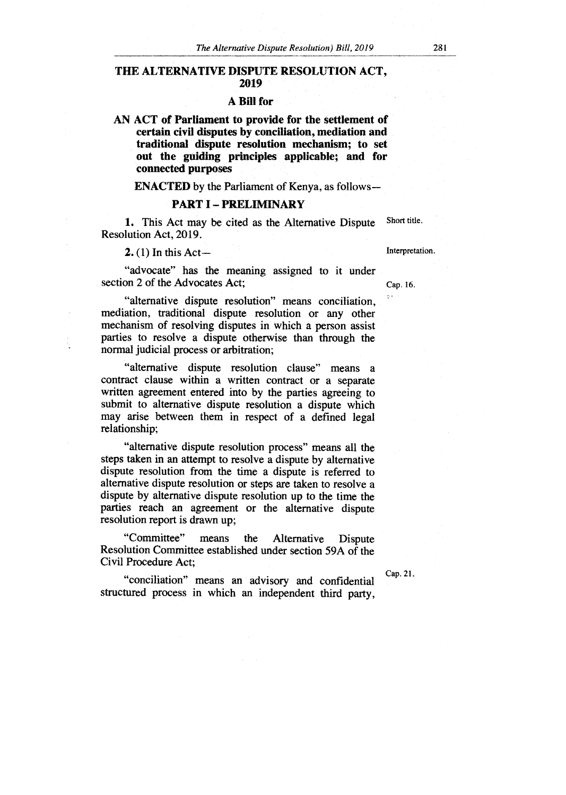#### **THE ALTERNATIVE DISPUTE RESOLUTION ACT, 2019**

#### **A Bill for**

**AN ACT of Parliament to provide for the settlement of certain civil disputes by conciliation, mediation and traditional dispute resolution mechanism; to set out the guiding principles applicable; and for connected purposes** 

**ENACTED** by the Parliament of Kenya, as follows **—** 

#### **PART I — PRELIMINARY**

1. This Act may be cited as the Alternative Dispute Resolution Act, 2019. Short title.

 $2. (1)$  In this Act-

"advocate" has the meaning assigned to it under section 2 of the Advocates Act;

"alternative dispute resolution" means conciliation, mediation, traditional dispute resolution or any other mechanism of resolving disputes in which a person assist parties to resolve a dispute otherwise than through the normal judicial process or arbitration;

"alternative dispute resolution clause" means a contract clause within a written contract or a separate written agreement entered into by the parties agreeing to submit to alternative dispute resolution a dispute which may arise between them in respect of a defined legal relationship;

"alternative dispute resolution process" means all the steps taken in an attempt to resolve a dispute by alternative dispute resolution from the time a dispute is referred to alternative dispute resolution or steps are taken to resolve a dispute by alternative dispute resolution up to the time the parties reach an agreement or the alternative dispute resolution report is drawn up;

"Committee" means the Alternative Dispute Resolution Committee established under section 59A of the Civil Procedure Act;

"conciliation" means an advisory and confidential structured process in which an independent third party,

Interpretation.

Cap. 16.

Cap. 21.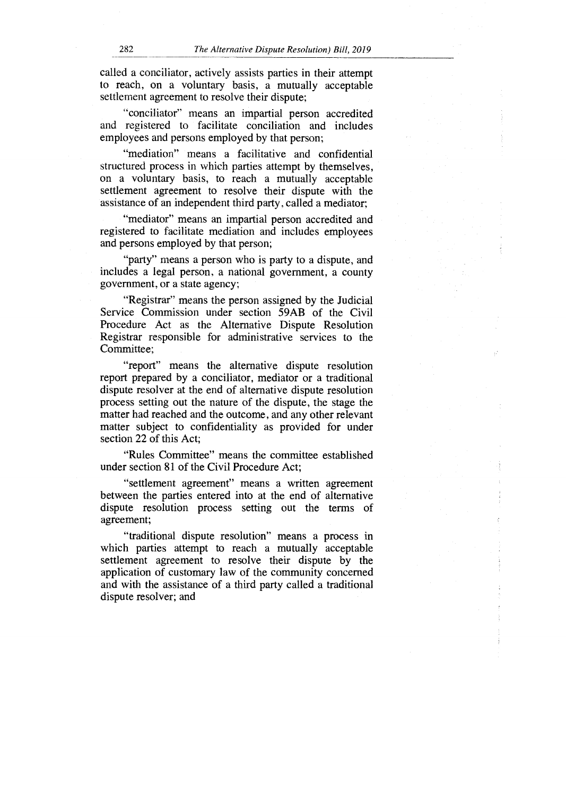called a conciliator, actively assists parties in their attempt to reach, on a voluntary basis, a mutually acceptable settlement agreement to resolve their dispute;

"conciliator" means an impartial person accredited and registered to facilitate conciliation and includes employees and persons employed by that person;

"mediation" means a facilitative and confidential structured process in which parties attempt by themselves, on a voluntary basis, to reach a mutually acceptable settlement agreement to resolve their dispute with the assistance of an independent third party, called a mediator;

"mediator" means an impartial person accredited and registered to facilitate mediation and includes employees and persons employed by that person;

"party" means a person who is party to a dispute, and includes a legal person, a national government, a county government, or a state agency;

"Registrar" means the person assigned by the Judicial Service Commission under section 59AB of the Civil Procedure Act as the Alternative Dispute Resolution Registrar responsible for administrative services to the Committee;

"report" means the alternative dispute resolution report prepared by a conciliator, mediator or a traditional dispute resolver at the end of alternative dispute resolution process setting out the nature of the dispute, the stage the matter had reached and the outcome, and any other relevant matter subject to confidentiality as provided for under section 22 of this Act;

"Rules Committee" means the committee established under section 81 of the Civil Procedure Act;

"settlement agreement" means a written agreement between the parties entered into at the end of alternative dispute resolution process setting out the terms of agreement;

"traditional dispute resolution" means a process in which parties attempt to reach a mutually acceptable settlement agreement to resolve their dispute by the application of customary law of the community concerned and with the assistance of a third party called a traditional dispute resolver; and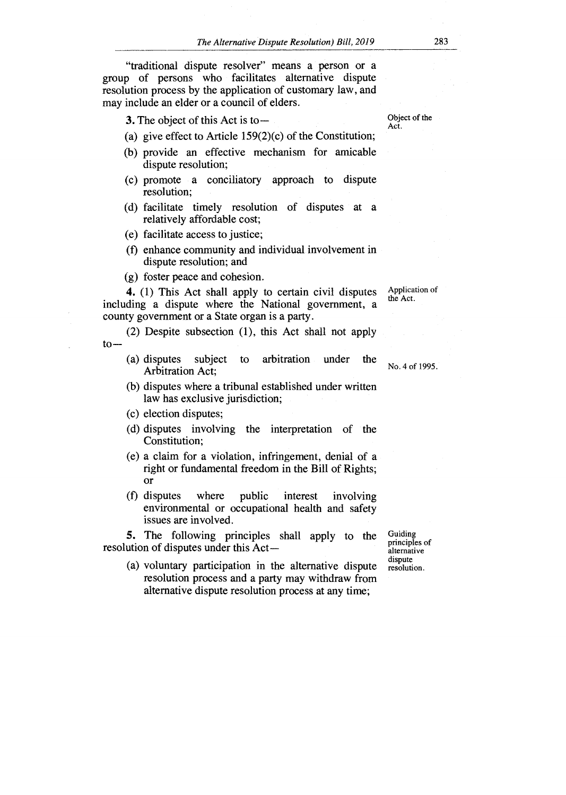"traditional dispute resolver" means a person or a group of persons who facilitates alternative dispute resolution process by the application of customary law, and may include an elder or a council of elders.

**3.** The object of this Act is to —

- (a) give effect to Article 159(2)(c) of the Constitution;
- (b) provide an effective mechanism for amicable dispute resolution;
- (c) promote a conciliatory approach to dispute resolution;
- (d) facilitate timely resolution of disputes at a relatively affordable cost;
- (e) facilitate access to justice;
- (f) enhance community and individual involvement in dispute resolution; and
- (g) foster peace and cohesion.

**4.** (1) This Act shall apply to certain civil disputes including a dispute where the National government, a county government or a State organ is a party.

- (2) Despite subsection (1), this Act shall not apply  $to-$ 
	- (a) disputes subject to arbitration under the Arbitration Act;
	- (b) disputes where a tribunal established under written law has exclusive jurisdiction;
	- (c) election disputes;
	- (d) disputes involving the interpretation of the Constitution;
	- (e) a claim for a violation, infringement, denial of a right or fundamental freedom in the Bill of Rights; Or
	- (f) disputes where public interest involving environmental or occupational health and safety issues are involved.

**5.** The following principles shall apply to the resolution of disputes under this Act —

(a) voluntary participation in the alternative dispute resolution process and a party may withdraw from alternative dispute resolution process at any time;

Guiding principles of alternative dispute resolution.

Object of the Act.

Application of the Act.

No. 4 of 1995.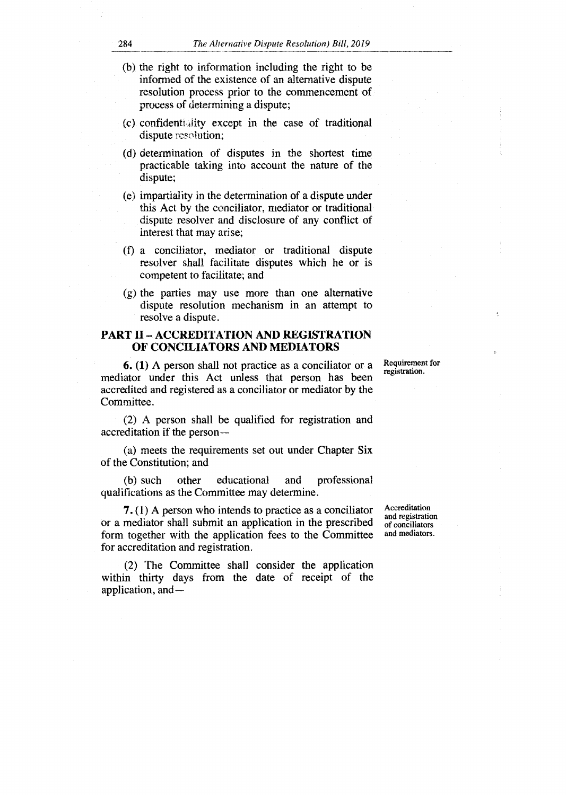- (b) the right to information including the right to be informed of the existence of an alternative dispute resolution process prior to the commencement of process of determining a dispute;
- (c) confidenti dity except in the case of traditional dispute resolution;
- (d) determination of disputes in the shortest time practicable taking into account the nature of the dispute;
- (e) impartiality in the determination of a dispute under this Act by the conciliator, mediator or traditional dispute resolver and disclosure of any conflict of interest that may arise;
- (f) a conciliator, mediator or traditional dispute resolver shall facilitate disputes which he or is competent to facilitate; and
- (g) the parties may use more than one alternative dispute resolution mechanism in an attempt to resolve a dispute.

#### **PART II — ACCREDITATION AND REGISTRATION OF CONCILIATORS AND MEDIATORS**

**6. (1)** A person shall not practice as a conciliator or a mediator under this Act unless that person has been accredited and registered as a conciliator or mediator by the Committee.

(2) A person shall be qualified for registration and accreditation if the person —

(a) meets the requirements set out under Chapter Six of the Constitution; and

(b) such other educational and professional qualifications as the Committee may determine.

**7.** (1) A person who intends to practice as a conciliator or a mediator shall submit an application in the prescribed form together with the application fees to the Committee for accreditation and registration.

(2) The Committee shall consider the application within thirty days from the date of receipt of the application, and—

Accreditation and registration of conciliators and mediators.

Requirement for registration.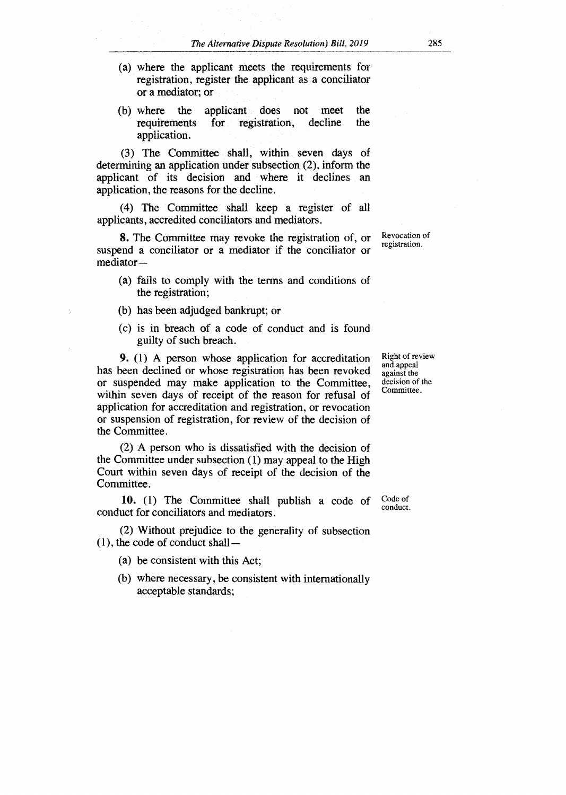- (a) where the applicant meets the requirements for registration, register the applicant as a conciliator or a mediator; or
- (b) where the applicant does not meet the requirements for registration, decline the requirements for registration, decline the application.

(3) The Committee shall, within seven days of determining an application under subsection (2), inform the applicant of its decision and where it declines an application, the reasons for the decline.

(4) The Committee shall keep a register of all applicants, accredited conciliators and mediators.

**8.** The Committee may revoke the registration of, or suspend a conciliator or a mediator if the conciliator or mediator —

- (a) fails to comply with the terms and conditions of the registration;
- (b) has been adjudged bankrupt; or
- (c) is in breach of a code of conduct and is found guilty of such breach.

**9.** (1) A person whose application for accreditation has been declined or whose registration has been revoked or suspended may make application to the Committee, within seven days of receipt of the reason for refusal of application for accreditation and registration, or revocation or suspension of registration, for review of the decision of the Committee.

(2) A person who is dissatisfied with the decision of the Committee under subsection (1) may appeal to the High Court within seven days of receipt of the decision of the Committee.

10. (1) The Committee shall publish a code of conduct for conciliators and mediators. Code of conduct.

(2) Without prejudice to the generality of subsection  $(1)$ , the code of conduct shall —

- (a) be consistent with this Act;
- (b) where necessary, be consistent with internationally acceptable standards;

Right of review and appeal against the decision of the Committee.

Revocation of registration.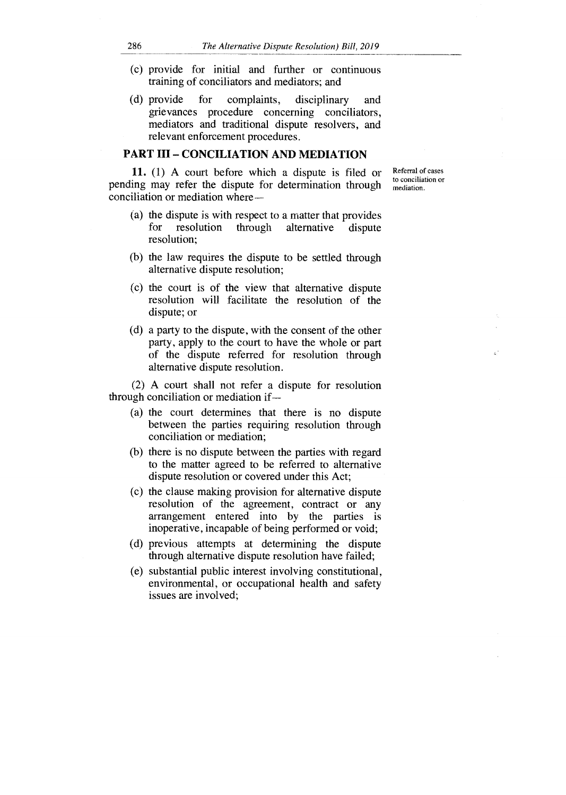- (c) provide for initial and further or continuous training of conciliators and mediators; and
- (d) provide for complaints, disciplinary and grievances procedure concerning conciliators, mediators and traditional dispute resolvers, and relevant enforcement procedures.

#### PART III — CONCILIATION AND MEDIATION

11. (1) A court before which a dispute is filed or pending may refer the dispute for determination through conciliation or mediation where —

- (a) the dispute is with respect to a matter that provides for resolution through alternative dispute resolution;
- (b) the law requires the dispute to be settled through alternative dispute resolution;
- (c) the court is of the view that alternative dispute resolution will facilitate the resolution of the dispute; or
- (d) a party to the dispute, with the consent of the other party, apply to the court to have the whole or part of the dispute referred for resolution through alternative dispute resolution.

(2) A court shall not refer a dispute for resolution through conciliation or mediation if—

- (a) the court determines that there is no dispute between the parties requiring resolution through conciliation or mediation;
- (b) there is no dispute between the parties with regard to the matter agreed to be referred to alternative dispute resolution or covered under this Act;
- (c) the clause making provision for alternative dispute resolution of the agreement, contract or any arrangement entered into by the parties is inoperative, incapable of being performed or void;
- (d) previous attempts at determining the dispute through alternative dispute resolution have failed;
- (e) substantial public interest involving constitutional, environmental, or occupational health and safety issues are involved;

Referral of cases

to conciliation or mediation.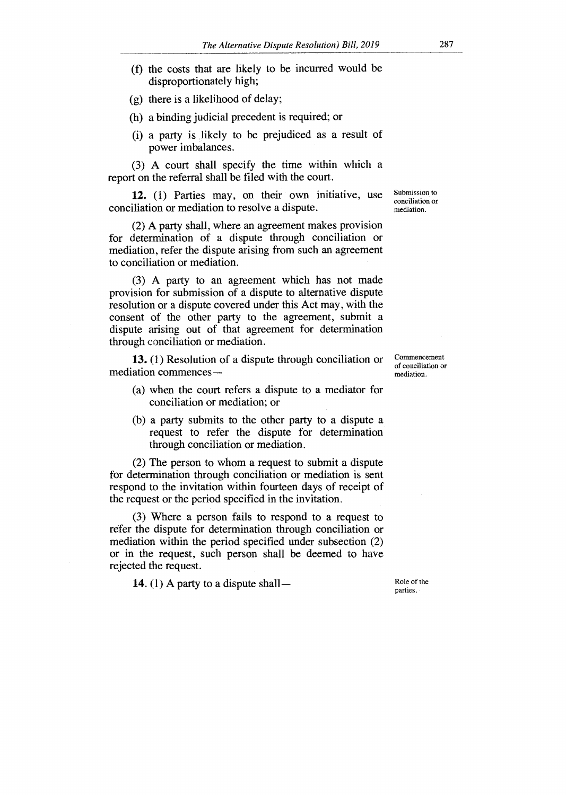- (f) the costs that are likely to be incurred would be disproportionately high;
- (g) there is a likelihood of delay;
- (h) a binding judicial precedent is required; or
- (i) a party is likely to be prejudiced as a result of power imbalances.

(3) A court shall specify the time within which a report on the referral shall be filed with the court.

**12.** (1) Parties may, on their own initiative, use conciliation or mediation to resolve a dispute.

(2) A party shall, where an agreement makes provision for determination of a dispute through conciliation or mediation, refer the dispute arising from such an agreement to conciliation or mediation.

(3) A party to an agreement which has not made provision for submission of a dispute to alternative dispute resolution or a dispute covered under this Act may, with the consent of the other party to the agreement, submit a dispute arising out of that agreement for determination through conciliation or mediation.

**13.** (1) Resolution of a dispute through conciliation or mediation commences —

- (a) when the court refers a dispute to a mediator for conciliation or mediation; or
- (b) a party submits to the other party to a dispute a request to refer the dispute for determination through conciliation or mediation.

(2) The person to whom a request to submit a dispute for determination through conciliation or mediation is sent respond to the invitation within fourteen days of receipt of the request or the period specified in the invitation.

(3) Where a person fails to respond to a request to refer the dispute for determination through conciliation or mediation within the period specified under subsection (2) or in the request, such person shall be deemed to have rejected the request.

**14.** (1) A party to a dispute shall—

Role of the parties.

Commencement of conciliation or mediation.

Submission to conciliation or mediation.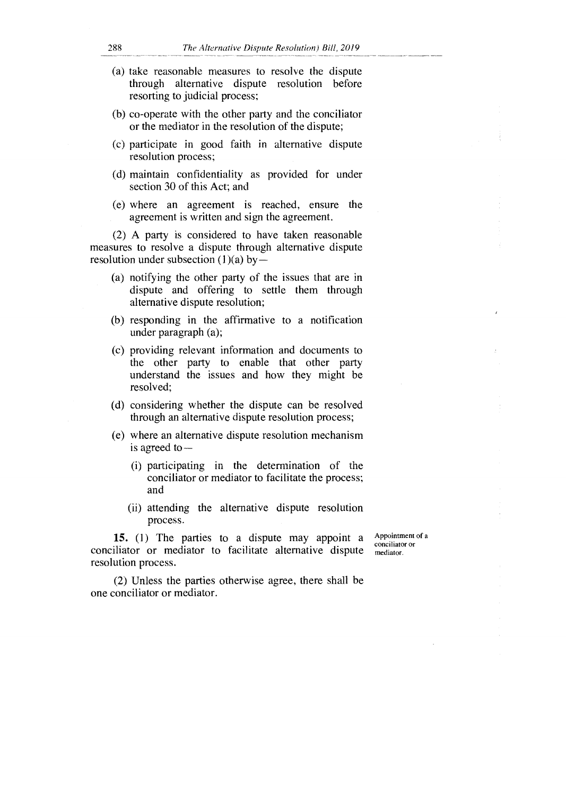- (a) take reasonable measures to resolve the dispute through alternative dispute resolution before resorting to judicial process;
- (b) co-operate with the other party and the conciliator or the mediator in the resolution of the dispute;
- (c) participate in good faith in alternative dispute resolution process;
- (d) maintain confidentiality as provided for under section 30 of this Act; and
- (e) where an agreement is reached, ensure the agreement is written and sign the agreement.

(2) A party is considered to have taken reasonable measures to resolve a dispute through alternative dispute resolution under subsection (1)(a) by —

- (a) notifying the other party of the issues that are in dispute and offering to settle them through alternative dispute resolution;
- (b) responding in the affirmative to a notification under paragraph (a);
- (c) providing relevant information and documents to the other party to enable that other party understand the issues and how they might be resolved;
- (d) considering whether the dispute can be resolved through an alternative dispute resolution process;
- (e) where an alternative dispute resolution mechanism is agreed to —
	- (i) participating in the determination of the conciliator or mediator to facilitate the process; and
	- (ii) attending the alternative dispute resolution process.

**15.** (1) The parties to a dispute may appoint a conciliator or mediator to facilitate alternative dispute resolution process.

Appointment of a conciliator or mediator.

(2) Unless the parties otherwise agree, there shall be one conciliator or mediator.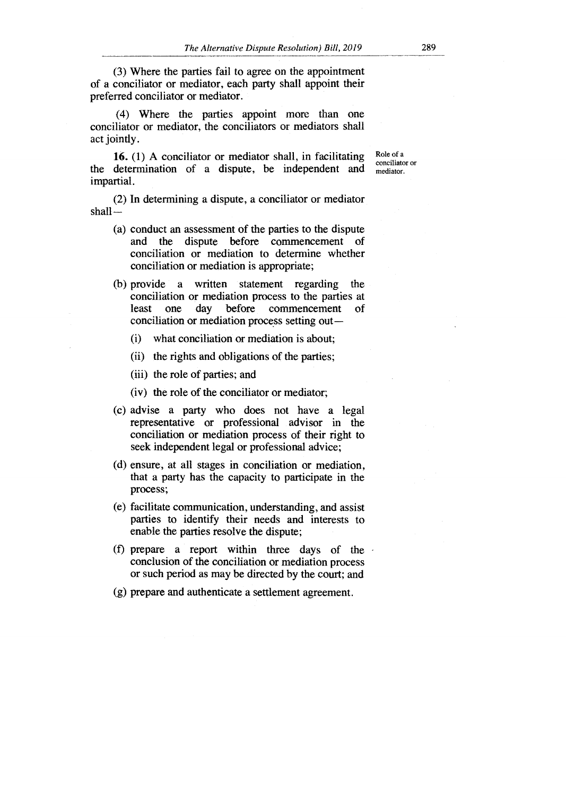(3) Where the parties fail to agree on the appointment of a conciliator or mediator, each party shall appoint their preferred conciliator or mediator.

(4) Where the parties appoint more than one conciliator or mediator, the conciliators or mediators shall act jointly.

**16.** (1) A conciliator or mediator shall, in facilitating the determination of a dispute, be independent and impartial.

Role of a conciliator or mediator.

(2) In determining a dispute, a conciliator or mediator shall —

- (a) conduct an assessment of the parties to the dispute and the dispute before commencement of conciliation or mediation to determine whether conciliation or mediation is appropriate;
- (b) provide a written statement regarding the conciliation or mediation process to the parties at least one day before commencement of conciliation or mediation process setting out —
	- (i) what conciliation or mediation is about;
	- (ii) the rights and obligations of the parties;
	- (iii) the role of parties; and
	- (iv) the role of the conciliator or mediator;
- (c) advise a party who does not have a legal representative or professional advisor in the conciliation or mediation process of their right to seek independent legal or professional advice;
- (d) ensure, at all stages in conciliation or mediation, that a party has the capacity to participate in the process;
- (e) facilitate communication, understanding, and assist parties to identify their needs and interests to enable the parties resolve the dispute;
- (f) prepare a report within three days of the conclusion of the conciliation or mediation process or such period as may be directed by the court; and
- (g) prepare and authenticate a settlement agreement.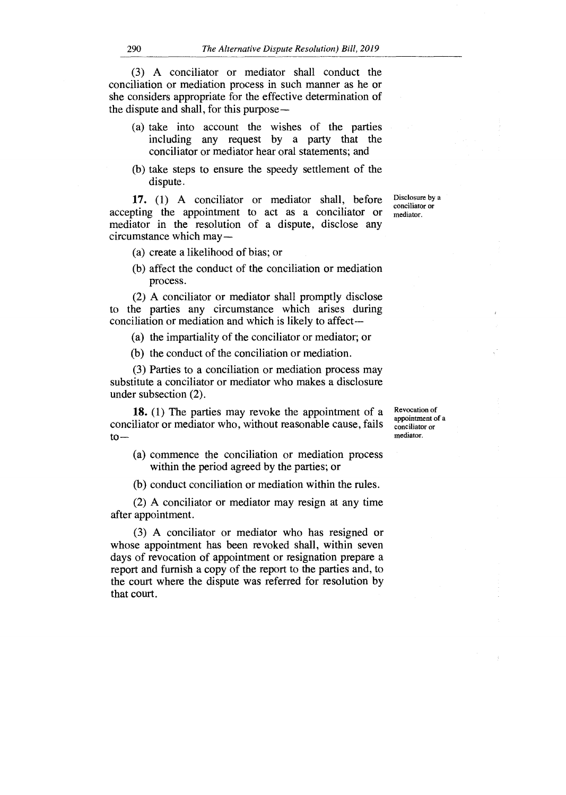(3) A conciliator or mediator shall conduct the conciliation or mediation process in such manner as he or she considers appropriate for the effective determination of the dispute and shall, for this purpose —

- (a) take into account the wishes of the parties including any request by a party that the conciliator or mediator hear oral statements; and
- (b) take steps to ensure the speedy settlement of the dispute.

**17.** (1) A conciliator or mediator shall, before accepting the appointment to act as a conciliator or mediator in the resolution of a dispute, disclose any circumstance which may —

(a) create a likelihood of bias; or

(b) affect the conduct of the conciliation or mediation process.

(2) A conciliator or mediator shall promptly disclose to the parties any circumstance which arises during conciliation or mediation and which is likely to affect —

(a) the impartiality of the conciliator or mediator; or

(b) the conduct of the conciliation or mediation.

(3) Parties to a conciliation or mediation process may substitute a conciliator or mediator who makes a disclosure under subsection (2).

**18.** (1) The parties may revoke the appointment of a conciliator or mediator who, without reasonable cause, fails  $to -$ 

(a) commence the conciliation or mediation process within the period agreed by the parties; or

(b) conduct conciliation or mediation within the rules.

(2) A conciliator or mediator may resign at any time after appointment.

(3) A conciliator or mediator who has resigned or whose appointment has been revoked shall, within seven days of revocation of appointment or resignation prepare a report and furnish a copy of the report to the parties and, to the court where the dispute was referred for resolution by that court.

Revocation of appointment of a conciliator or mediator.

Disclosure by a conciliator or mediator.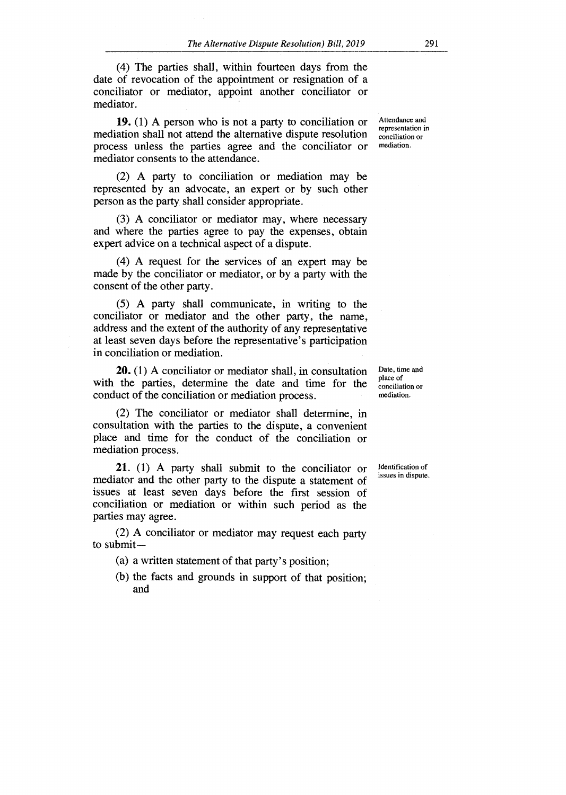(4) The parties shall, within fourteen days from the date of revocation of the appointment or resignation of a conciliator or mediator, appoint another conciliator or mediator.

**19.** (1) A person who is not a party to conciliation or  $\frac{\text{Attendance and } }{\text{representation in}}$ mediation shall not attend the alternative dispute resolution conciliation or<br>process unless the parties agree and the conciliator or mediation. process unless the parties agree and the conciliator or mediator consents to the attendance.

(2) A party to conciliation or mediation may be represented by an advocate, an expert or by such other person as the party shall consider appropriate.

(3) A conciliator or mediator may, where necessary and where the parties agree to pay the expenses, obtain expert advice on a technical aspect of a dispute.

(4) A request for the services of an expert may be made by the conciliator or mediator, or by a party with the consent of the other party.

(5) A party shall communicate, in writing to the conciliator or mediator and the other party, the name, address and the extent of the authority of any representative at least seven days before the representative's participation in conciliation or mediation.

**20.** (1) A conciliator or mediator shall, in consultation with the parties, determine the date and time for the conduct of the conciliation or mediation process.

(2) The conciliator or mediator shall determine, in consultation with the parties to the dispute, a convenient place and time for the conduct of the conciliation or mediation process.

**21.** (1) A party shall submit to the conciliator or mediator and the other party to the dispute a statement of issues at least seven days before the first session of conciliation or mediation or within such period as the parties may agree.

(2) A conciliator or mediator may request each party to submit —

(a) a written statement of that party's position;

(b) the facts and grounds in support of that position; and

Date, time and place of conciliation or mediation.

Identification of issues in dispute.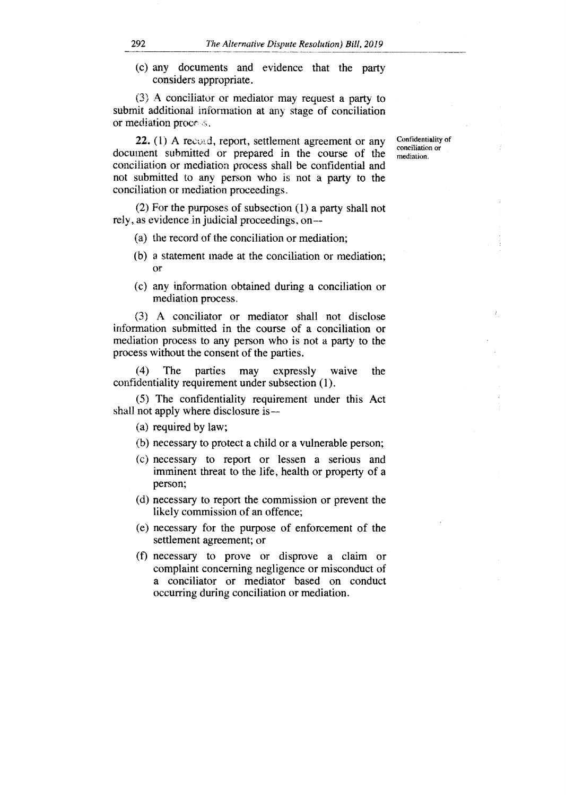(c) any documents and evidence that the party considers appropriate.

(3) A conciliator or mediator may request a party to submit additional information at any stage of conciliation or mediation proce

22. (1) A record, report, settlement agreement or any document submitted or prepared in the course of the conciliation or mediation process shall be confidential and not submitted to any person who is not a party to the conciliation or mediation proceedings.

(2) For the purposes of subsection (1) a party shall not rely, as evidence in judicial proceedings, on —

- (a) the record of the conciliation or mediation;
- (b) a statement made at the conciliation or mediation; Or
- (c) any information obtained during a conciliation or mediation process.

(3) A conciliator or mediator shall not disclose information submitted in the course of a conciliation or mediation process to any person who is not a party to the process without the consent of the parties.

(4) The parties may expressly waive the confidentiality requirement under subsection (1).

(5) The confidentiality requirement under this Act shall not apply where disclosure is —

(a) required by law;

- (b) necessary to protect a child or a vulnerable person;
- (c) necessary to report or lessen a serious and imminent threat to the life, health or property of a person;
- (d) necessary to report the commission or prevent the likely commission of an offence;
- (e) necessary for the purpose of enforcement of the settlement agreement; or
- (f) necessary to prove or disprove a claim or complaint concerning negligence or misconduct of a conciliator or mediator based on conduct occurring during conciliation or mediation.

Confidentiality of conciliation or mediation.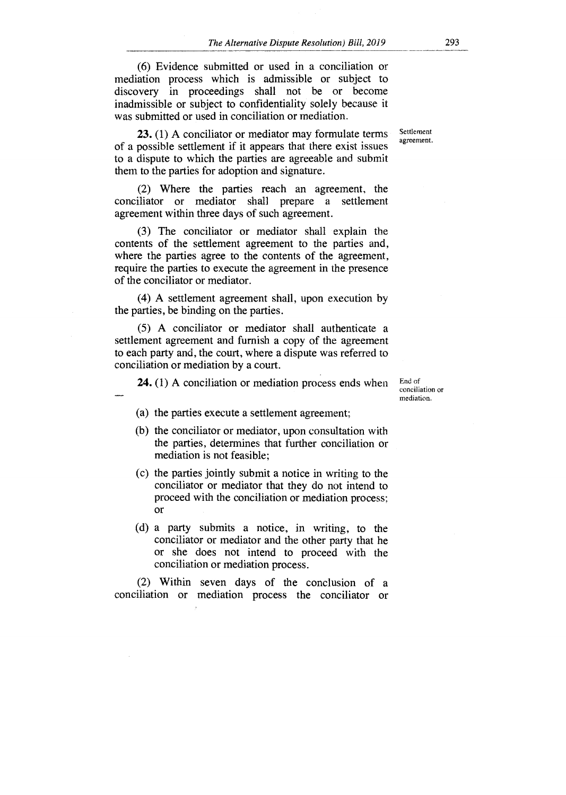(6) Evidence submitted or used in a conciliation or mediation process which is admissible or subject to discovery in proceedings shall not be or become inadmissible or subject to confidentiality solely because it was submitted or used in conciliation or mediation.

**23.** (1) A conciliator or mediator may formulate terms of a possible settlement if it appears that there exist issues to a dispute to which the parties are agreeable and submit them to the parties for adoption and signature.

(2) Where the parties reach an agreement, the conciliator or mediator shall prepare a settlement agreement within three days of such agreement.

(3) The conciliator or mediator shall explain the contents of the settlement agreement to the parties and, where the parties agree to the contents of the agreement, require the parties to execute the agreement in the presence of the conciliator or mediator.

(4) A settlement agreement shall, upon execution by the parties, be binding on the parties.

(5) A conciliator or mediator shall authenticate a settlement agreement and furnish a copy of the agreement to each party and, the court, where a dispute was referred to conciliation or mediation by a court.

**24.** (1) A conciliation or mediation process ends when

End of conciliation or mediation.

- (a) the parties execute a settlement agreement;
- (b) the conciliator or mediator, upon consultation with the parties, determines that further conciliation or mediation is not feasible;
- (c) the parties jointly submit a notice in writing to the conciliator or mediator that they do not intend to proceed with the conciliation or mediation process; or
- (d) a party submits a notice, in writing, to the conciliator or mediator and the other party that he or she does not intend to proceed with the conciliation or mediation process.

(2) Within seven days of the conclusion of a conciliation or mediation process the conciliator or **Settlement** agreement.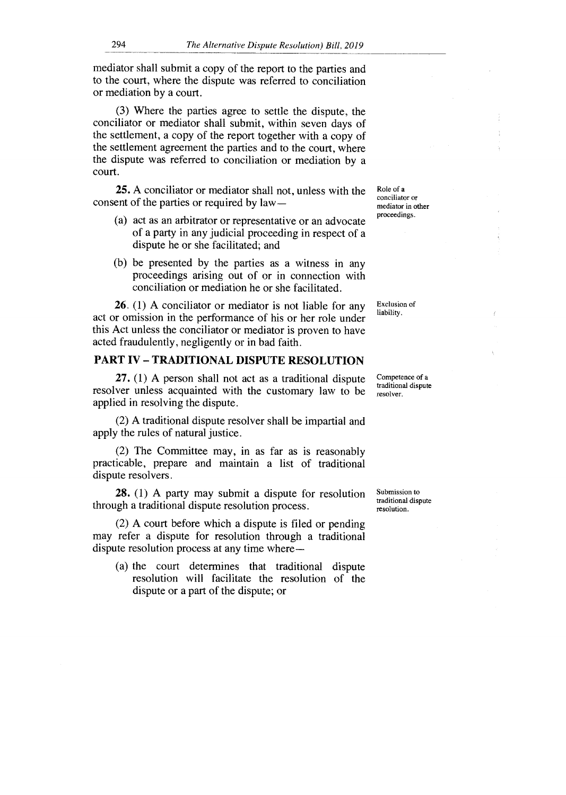mediator shall submit a copy of the report to the parties and to the court, where the dispute was referred to conciliation or mediation by a court.

(3) Where the parties agree to settle the dispute, the conciliator or mediator shall submit, within seven days of the settlement, a copy of the report together with a copy of the settlement agreement the parties and to the court, where the dispute was referred to conciliation or mediation by a court.

**25.** A conciliator or mediator shall not, unless with the consent of the parties or required by law —

- (a) act as an arbitrator or representative or an advocate of a party in any judicial proceeding in respect of a dispute he or she facilitated; and
- (b) be presented by the parties as a witness in any proceedings arising out of or in connection with conciliation or mediation he or she facilitated.

**26.** (1) A conciliator or mediator is not liable for any act or omission in the performance of his or her role under this Act unless the conciliator or mediator is proven to have acted fraudulently, negligently or in bad faith.

#### **PART IV — TRADITIONAL DISPUTE RESOLUTION**

**27.** (1) A person shall not act as a traditional dispute resolver unless acquainted with the customary law to be applied in resolving the dispute.

(2) A traditional dispute resolver shall be impartial and apply the rules of natural justice.

(2) The Committee may, in as far as is reasonably practicable, prepare and maintain a list of traditional dispute resolvers.

**28.** (1) A party may submit a dispute for resolution through a traditional dispute resolution process.

(2) A court before which a dispute is filed or pending may refer a dispute for resolution through a traditional dispute resolution process at any time where —

(a) the court determines that traditional dispute resolution will facilitate the resolution of the dispute or a part of the dispute; or

Role of a conciliator or mediator in other proceedings.

Exclusion of liability.

Competence of a traditional dispute resolver.

Submission to traditional dispute resolution.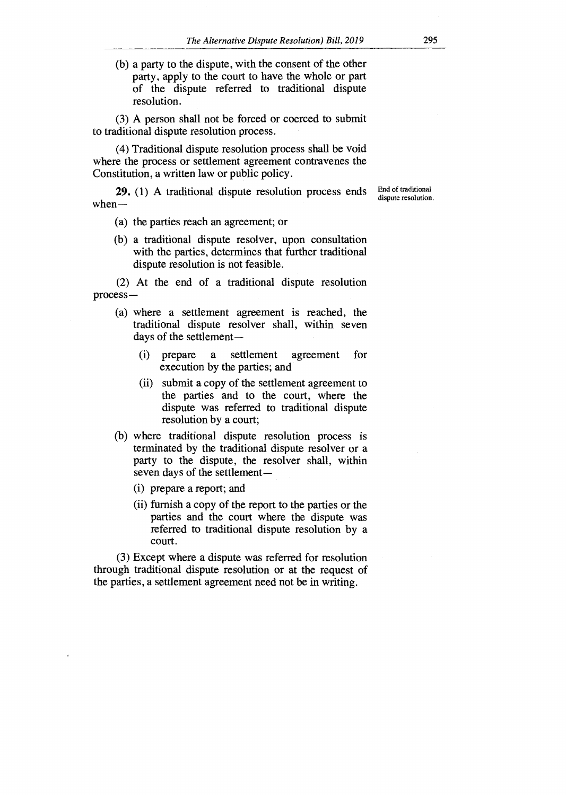(b) a party to the dispute, with the consent of the other party, apply to the court to have the whole or part of the dispute referred to traditional dispute resolution.

(3) A person shall not be forced or coerced to submit to traditional dispute resolution process.

(4) Traditional dispute resolution process shall be void where the process or settlement agreement contravenes the Constitution, a written law or public policy.

**29.** (1) A traditional dispute resolution process ends when—

End of traditional dispute resolution.

- (a) the parties reach an agreement; or
- (b) a traditional dispute resolver, upon consultation with the parties, determines that further traditional dispute resolution is not feasible.

(2) At the end of a traditional dispute resolution process —

- (a) where a settlement agreement is reached, the traditional dispute resolver shall, within seven days of the settlement—
	- (i) prepare a settlement agreement for execution by the parties; and
	- (ii) submit a copy of the settlement agreement to the parties and to the court, where the dispute was referred to traditional dispute resolution by a court;
- (b) where traditional dispute resolution process is terminated by the traditional dispute resolver or a party to the dispute, the resolver shall, within seven days of the settlement —
	- (i) prepare a report; and
	- (ii) furnish a copy of the report to the parties or the parties and the court where the dispute was referred to traditional dispute resolution by a court.

(3) Except where a dispute was referred for resolution through traditional dispute resolution or at the request of the parties, a settlement agreement need not be in writing.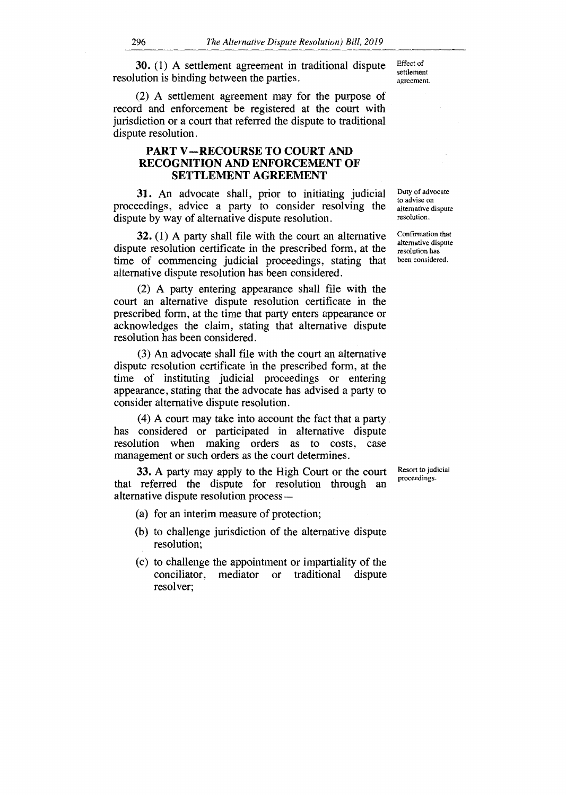Effect of settlement agreement. 30. (1) A settlement agreement in traditional dispute resolution is binding between the parties.

(2) A settlement agreement may for the purpose of record and enforcement be registered at the court with jurisdiction or a court that referred the dispute to traditional dispute resolution.

#### PART V —RECOURSE TO COURT AND RECOGNITION AND ENFORCEMENT OF SETTLEMENT AGREEMENT

31. An advocate shall, prior to initiating judicial proceedings, advice a party to consider resolving the dispute by way of alternative dispute resolution.

32. (1) A party shall file with the court an alternative dispute resolution certificate in the prescribed form, at the time of commencing judicial proceedings, stating that alternative dispute resolution has been considered.

(2) A party entering appearance shall file with the court an alternative dispute resolution certificate in the prescribed form, at the time that party enters appearance or acknowledges the claim, stating that alternative dispute resolution has been considered.

(3) An advocate shall file with the court an alternative dispute resolution certificate in the prescribed form, at the time of instituting judicial proceedings or entering appearance, stating that the advocate has advised a party to consider alternative dispute resolution.

(4) A court may take into account the fact that a party has considered or participated in alternative dispute resolution when making orders as to costs, case management or such orders as the court determines.

33. A party may apply to the High Court or the court that referred the dispute for resolution through an alternative dispute resolution process —

- (a) for an interim measure of protection;
- (b) to challenge jurisdiction of the alternative dispute resolution;
- (c) to challenge the appointment or impartiality of the conciliator, mediator or traditional dispute resolver;

Duty of advocate to advise on alternative dispute resolution.

Confirmation that alternative dispute resolution has been considered.

Resort to judicial proceedings.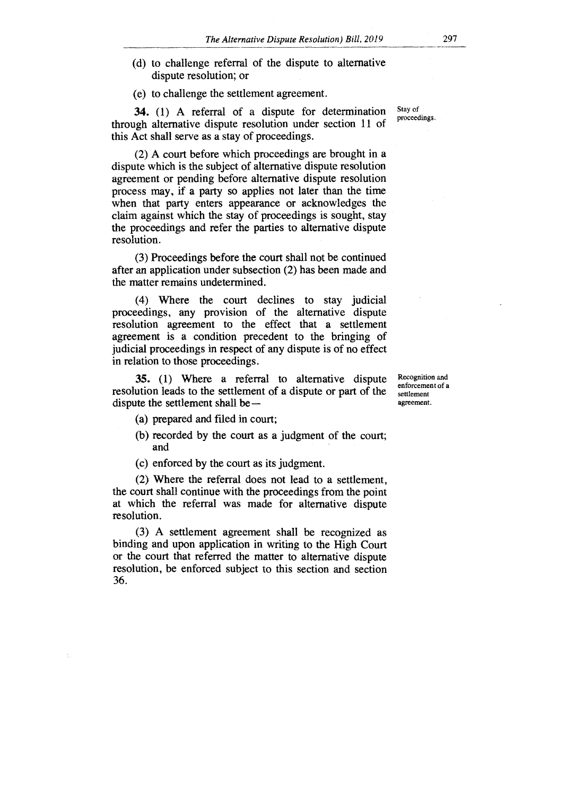- (d) to challenge referral of the dispute to alternative dispute resolution; or
- (e) to challenge the settlement agreement.

**34.** (1) A referral of a dispute for determination through alternative dispute resolution under section 11 of this Act shall serve as a stay of proceedings.

(2) A court before which proceedings are brought in a dispute which is the subject of alternative dispute resolution agreement or pending before alternative dispute resolution process may, if a party so applies not later than the time when that party enters appearance or acknowledges the claim against which the stay of proceedings is sought, stay the proceedings and refer the parties to alternative dispute resolution.

(3) Proceedings before the court shall not be continued after an application under subsection (2) has been made and the matter remains undetermined.

(4) Where the court declines to stay judicial proceedings, any provision of the alternative dispute resolution agreement to the effect that a settlement agreement is a condition precedent to the bringing of judicial proceedings in respect of any dispute is of no effect in relation to those proceedings.

**35.** (1) Where a referral to alternative dispute resolution leads to the settlement of a dispute or part of the dispute the settlement shall be —

Recognition and enforcement of a settlement agreement.

- (a) prepared and filed in court;
- (b) recorded by the court as a judgment of the court; and
- (c) enforced by the court as its judgment.

(2) Where the referral does not lead to a settlement, the court shall continue with the proceedings from the point at which the referral was made for alternative dispute resolution.

(3) A settlement agreement shall be recognized as binding and upon application in writing to the High Court or the court that referred the matter to alternative dispute resolution, be enforced subject to this section and section 36.

Stay of proceedings.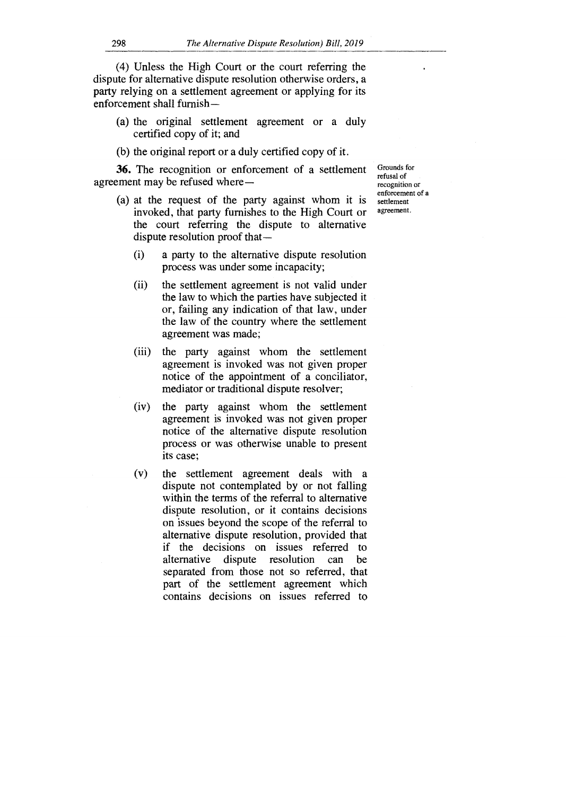- (a) the original settlement agreement or a duly certified copy of it; and
- (b) the original report or a duly certified copy of it.

**36.** The recognition or enforcement of a settlement agreement may be refused where —

- (a) at the request of the party against whom it is invoked, that party furnishes to the High Court or the court referring the dispute to alternative dispute resolution proof that —
	- (i) a party to the alternative dispute resolution process was under some incapacity;
	- (ii) the settlement agreement is not valid under the law to which the parties have subjected it or, failing any indication of that law, under the law of the country where the settlement agreement was made;
	- (iii) the party against whom the settlement agreement is invoked was not given proper notice of the appointment of a conciliator, mediator or traditional dispute resolver;
	- (iv) the party against whom the settlement agreement is invoked was not given proper notice of the alternative dispute resolution process or was otherwise unable to present its case;
	- (v) the settlement agreement deals with a dispute not contemplated by or not falling within the terms of the referral to alternative dispute resolution, or it contains decisions on issues beyond the scope of the referral to alternative dispute resolution, provided that if the decisions on issues referred to alternative dispute resolution can be separated from those not so referred, that part of the settlement agreement which contains decisions on issues referred to

Grounds for refusal of recognition or enforcement of a settlement agreement.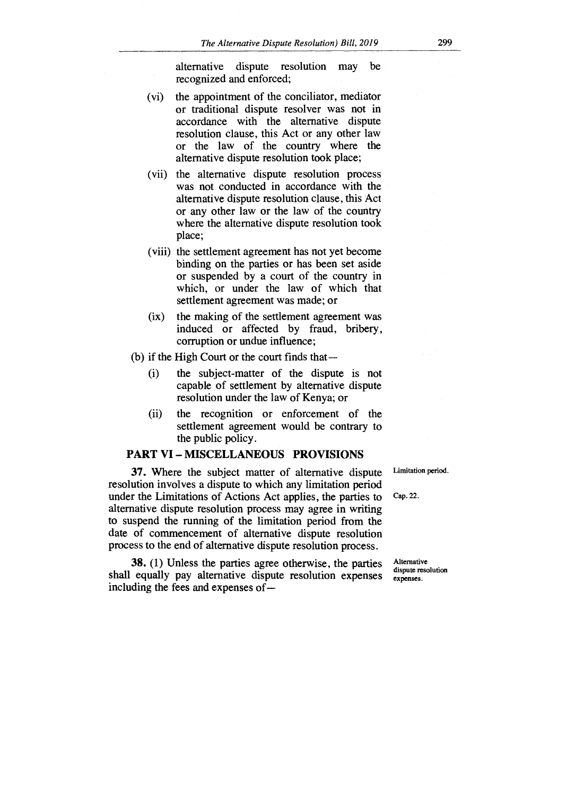alternative dispute resolution may be recognized and enforced;

- (vi) the appointment of the conciliator, mediator or traditional dispute resolver was not in accordance with the alternative dispute resolution clause, this Act or any other law or the law of the country where the alternative dispute resolution took place;
- (vii) the alternative dispute resolution process was not conducted in accordance with the alternative dispute resolution clause, this Act or any other law or the law of the country where the alternative dispute resolution took place;
- (viii) the settlement agreement has not yet become binding on the parties or has been set aside or suspended by a court of the country in which, or under the law of which that settlement agreement was made; or
- the making of the settlement agreement was  $(ix)$ induced or affected by fraud, bribery, corruption or undue influence;
- (b) if the High Court or the court finds that
	- (i) the subject-matter of the dispute is not capable of settlement by alternative dispute resolution under the law of Kenya; or
	- (ii) the recognition or enforcement of the settlement agreement would be contrary to the public policy.

#### **PART VI — MISCELLANEOUS PROVISIONS**

37. Where the subject matter of alternative dispute resolution involves a dispute to which any limitation period under the Limitations of Actions Act applies, the parties to alternative dispute resolution process may agree in writing to suspend the running of the limitation period from the date of commencement of alternative dispute resolution process to the end of alternative dispute resolution process.

Limitation period.

Cap. 22.

38. (1) Unless the parties agree otherwise, the parties shall equally pay alternative dispute resolution expenses including the fees and expenses of—

Alternative dispute resolution expenses.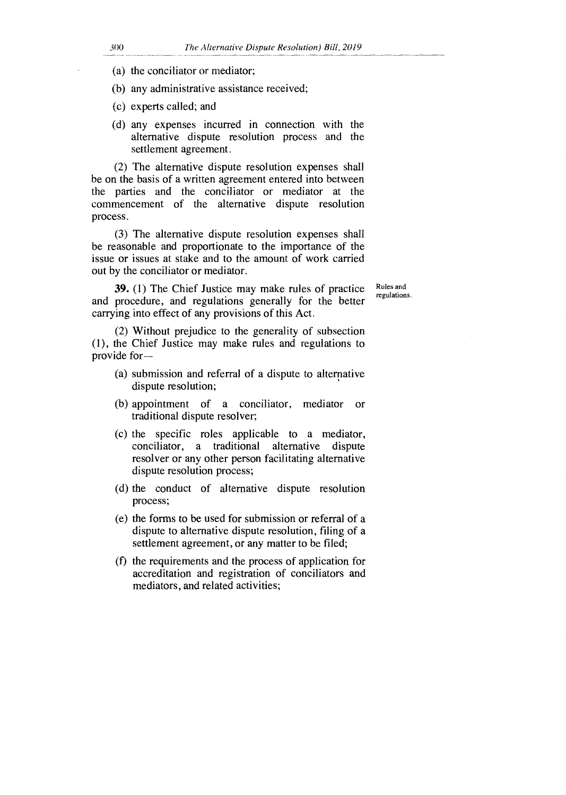- (a) the conciliator or mediator;
- (b) any administrative assistance received;
- (c) experts called; and
- (d) any expenses incurred in connection with the alternative dispute resolution process and the settlement agreement.

(2) The alternative dispute resolution expenses shall be on the basis of a written agreement entered into between the parties and the conciliator or mediator at the commencement of the alternative dispute resolution process.

(3) The alternative dispute resolution expenses shall be reasonable and proportionate to the importance of the issue or issues at stake and to the amount of work carried out by the conciliator or mediator.

**39.** (1) The Chief Justice may make rules of practice and procedure, and regulations generally for the better carrying into effect of any provisions of this Act.

Rules and regulations.

(2) Without prejudice to the generality of subsection (1), the Chief Justice may make rules and regulations to provide for-

- (a) submission and referral of a dispute to alternative dispute resolution;
- (b) appointment of a conciliator, mediator or traditional dispute resolver;
- (c) the specific roles applicable to a mediator, conciliator, a traditional alternative dispute resolver or any other person facilitating alternative dispute resolution process;
- (d) the conduct of alternative dispute resolution process;
- (e) the forms to be used for submission or referral of a dispute to alternative dispute resolution, filing of a settlement agreement, or any matter to be filed;
- (f) the requirements and the process of application for accreditation and registration of conciliators and mediators, and related activities;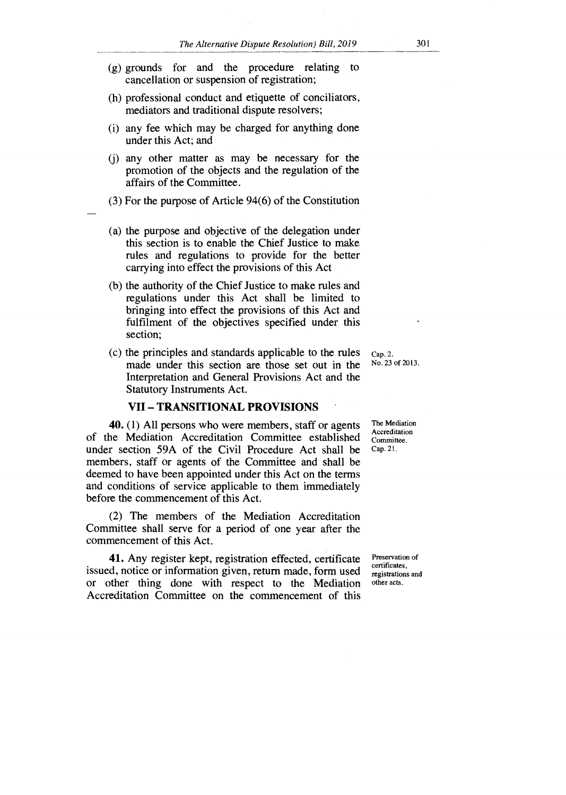- (g) grounds for and the procedure relating to cancellation or suspension of registration;
- (h) professional conduct and etiquette of conciliators, mediators and traditional dispute resolvers;
- (i) any fee which may be charged for anything done under this Act; and
- (j) any other matter as may be necessary for the promotion of the objects and the regulation of the affairs of the Committee.
- (3) For the purpose of Article 94(6) of the Constitution
- (a) the purpose and objective of the delegation under this section is to enable the Chief Justice to make rules and regulations to provide for the better carrying into effect the provisions of this Act
- (b) the authority of the Chief Justice to make rules and regulations under this Act shall be limited to bringing into effect the provisions of this Act and fulfilment of the objectives specified under this section;
- (c) the principles and standards applicable to the rules made under this section are those set out in the Interpretation and General Provisions Act and the Statutory Instruments Act.

#### **VII — TRANSITIONAL PROVISIONS •**

40. (1) All persons who were members, staff or agents of the Mediation Accreditation Committee established under section 59A of the Civil Procedure Act shall be members, staff or agents of the Committee and shall be deemed to have been appointed under this Act on the terms and conditions of service applicable to them immediately before the commencement of this Act.

(2) The members of the Mediation Accreditation Committee shall serve for a period of one year after the commencement of this Act.

41. Any register kept, registration effected, certificate issued, notice or information given, return made, form used or other thing done with respect to the Mediation Accreditation Committee on the commencement of this

Cap. 2. No. 23 of 2013.

The Mediation Accreditation Committee. Cap. 21.

Preservation of certificates, registrations and other acts.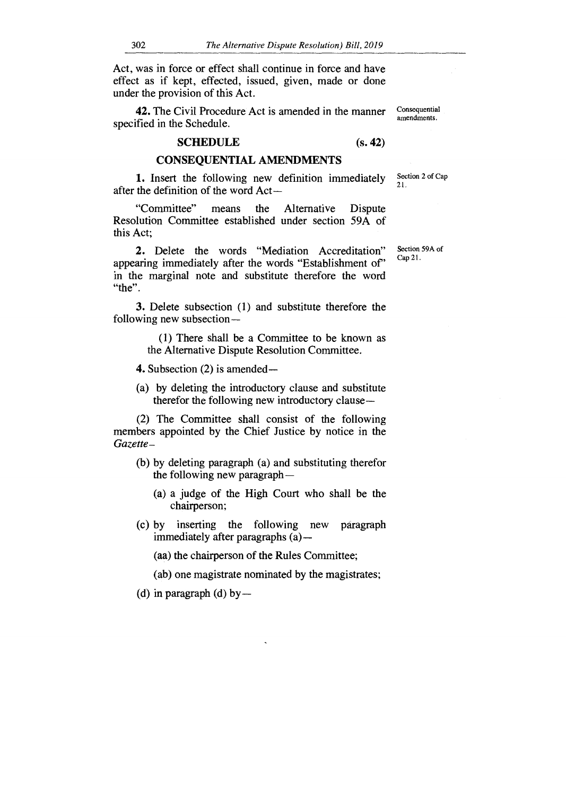Act, was in force or effect shall continue in force and have effect as if kept, effected, issued, given, made or done under the provision of this Act.

**42.** The Civil Procedure Act is amended in the manner specified in the Schedule.

#### **SCHEDULE (s. 42)**

#### **CONSEQUENTIAL AMENDMENTS**

**I.** Insert the following new definition immediately after the definition of the word Act —

"Committee" means the Alternative Dispute Resolution Committee established under section 59A of this Act;

2. Delete the words "Mediation Accreditation" appearing immediately after the words "Establishment of' in the marginal note and substitute therefore the word "the".

3. Delete subsection (1) and substitute therefore the following new subsection —

> (1) There shall be a Committee to be known as the Alternative Dispute Resolution Committee.

4. Subsection (2) is amended —

(a) by deleting the introductory clause and substitute therefor the following new introductory clause —

(2) The Committee shall consist of the following members appointed by the Chief Justice by notice in the *Gazette—* 

- (b) by deleting paragraph (a) and substituting therefor the following new paragraph —
	- (a) a judge of the High Court who shall be the chairperson;
- (c) by inserting the following new paragraph immediately after paragraphs (a) —

(aa) the chairperson of the Rules Committee;

(ab) one magistrate nominated by the magistrates;

(d) in paragraph (d) by  $-$ 

Section 2 of Cap 21.

Consequential amendments.

Section 59A of Cap 21.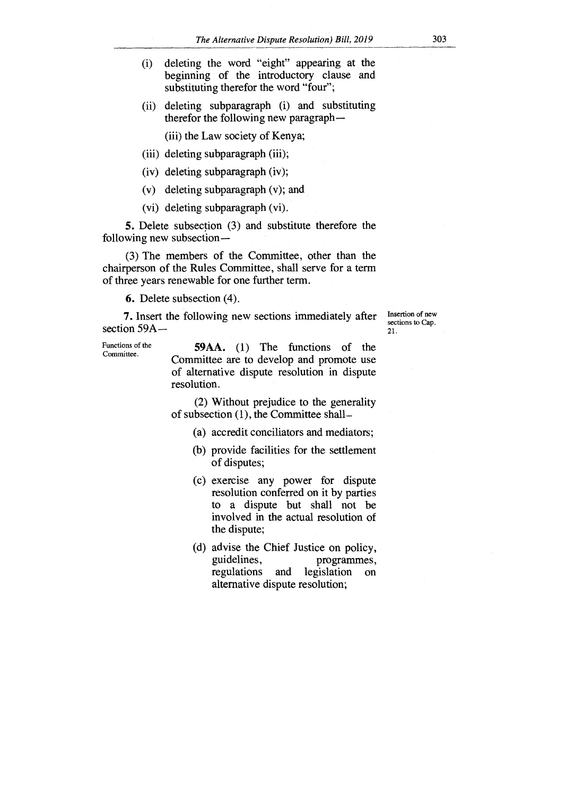(ii) deleting subparagraph (i) and substituting therefor the following new paragraph —

(iii) the Law society of Kenya;

- (iii) deleting subparagraph (iii);
- (iv) deleting subparagraph (iv);
- (v) deleting subparagraph (v); and
- (vi) deleting subparagraph (vi).

5. Delete subsection (3) and substitute therefore the following new subsection —

(3) The members of the Committee, other than the chairperson of the Rules Committee, shall serve for a term of three years renewable for one further term.

6. Delete subsection (4).

7. Insert the following new sections immediately after section 59A —

Functions of the Committee.

59AA. (1) The functions of the Committee are to develop and promote use of alternative dispute resolution in dispute resolution.

(2) Without prejudice to the generality of subsection (1), the Committee shall—

- (a) accredit conciliators and mediators;
- (b) provide facilities for the settlement of disputes;
- (c) exercise any power for dispute resolution conferred on it by parties to a dispute but shall not be involved in the actual resolution of the dispute;
- (d) advise the Chief Justice on policy, guidelines, programmes, guidelines, programmes, programmes, programmes, programmes, programmes, programmes,  $\frac{1}{2}$ and legislation on alternative dispute resolution;

Insertion of new sections to Cap.

21.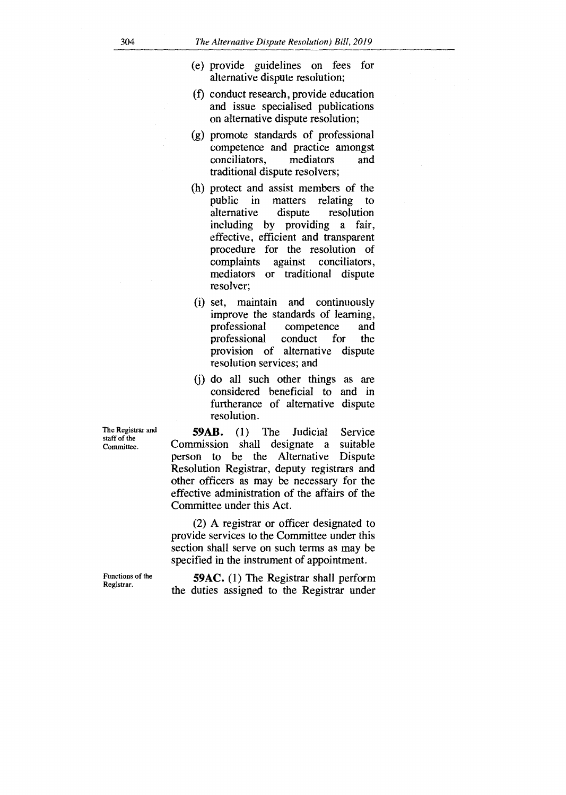- (e) provide guidelines on fees for alternative dispute resolution;
- (f) conduct research, provide education and issue specialised publications on alternative dispute resolution;
- (g) promote standards of professional competence and practice amongst conciliators, mediators and traditional dispute resolvers;
- (h) protect and assist members of the public in matters relating to alternative dispute resolution including by providing a fair, effective, efficient and transparent procedure for the resolution of complaints against conciliators, mediators or traditional dispute resolver;
- (i) set, maintain and continuously improve the standards of learning, professional competence and<br>professional conduct for the professional conduct for the provision of alternative dispute resolution services; and
- (j) do all such other things as are considered beneficial to and in furtherance of alternative dispute resolution.

**59AB.** (1) The Judicial Service<br>mission shall designate a suitable Commission shall designate a suitable person to be the Alternative Resolution Registrar, deputy registrars and other officers as may be necessary for the effective administration of the affairs of the Committee under this Act.

(2) A registrar or officer designated to provide services to the Committee under this section shall serve on such terms as may be specified in the instrument of appointment.

**59AC.** (1) The Registrar shall perform the duties assigned to the Registrar under

The Registrar and staff of the Committee.

Functions of the Registrar.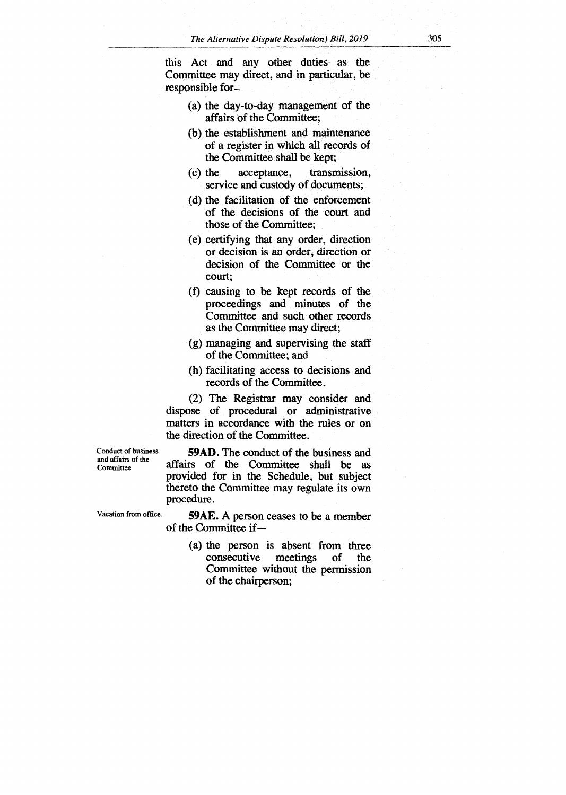this Act and any other duties as the Committee may direct, and in particular, be responsible for—

- (a) the day-to-day management of the affairs of the Committee;
- (b) the establishment and maintenance of a register in which all records of the Committee shall be kept;
- (c) the acceptance, transmission, service and custody of documents;
- (d) the facilitation of the enforcement of the decisions of the court and those of the Committee;
- (e) certifying that any order, direction or decision is an order, direction or decision of the Committee or the court;
- (f) causing to be kept records of the proceedings and minutes of the Committee and such other records as the Committee may direct;
- (g) managing and supervising the staff of the Committee; and
- (h) facilitating access to decisions and records of the Committee.

(2) The Registrar may consider and dispose of procedural or administrative matters in accordance with the rules or on the direction of the Committee.

Conduct of business and affairs of the

Committee affairs of the Committee shall be as **59AD.** The conduct of the business and provided for in the Schedule, but subject thereto the Committee may regulate its own procedure.

Vacation from office. **59AE.** A person ceases to be a member of the Committee if—

> (a) the person is absent from three<br>consecutive meetings of the consecutive meetings of the Committee without the permission of the chairperson;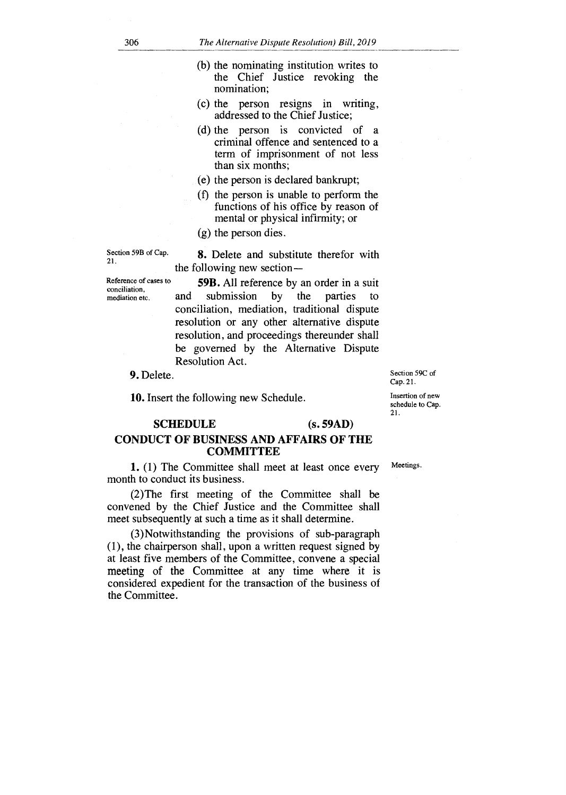- (b) the nominating institution writes to the Chief Justice revoking the nomination;
- (c) the person resigns in writing, addressed to the Chief Justice;
- (d) the person is convicted of a criminal offence and sentenced to a term of imprisonment of not less than six months;
- (e) the person is declared bankrupt;
- (f) the person is unable to perform the functions of his office by reason of mental or physical infirmity; or
- (g) the person dies.

8. Delete and substitute therefor with the following new section **—** 

Section 59B of Cap. 21.

Reference of cases to conciliation, mediation etc.

**59B.** All reference by an order in a suit and submission by the parties to conciliation, mediation, traditional dispute resolution or any other alternative dispute resolution, and proceedings thereunder shall be governed by the Alternative Dispute Resolution Act.

9. Delete.

10. Insert the following new Schedule.

# **SCHEDULE** (s. **59AD)**

# **CONDUCT OF BUSINESS AND AFFAIRS OF THE COMMITTEE**

**1.** (1) The Committee shall meet at least once every Meetings. month to conduct its business.

(2)The first meeting of the Committee shall be convened by the Chief Justice and the Committee shall meet subsequently at such a time as it shall determine.

(3)Notwithstanding the provisions of sub-paragraph (1), the chairperson shall, upon a written request signed by at least five members of the Committee, convene a special meeting of the Committee at any time where it is considered expedient for the transaction of the business of the Committee.

21.

Section 59C of Cap. 21. Insertion of new schedule to Cap.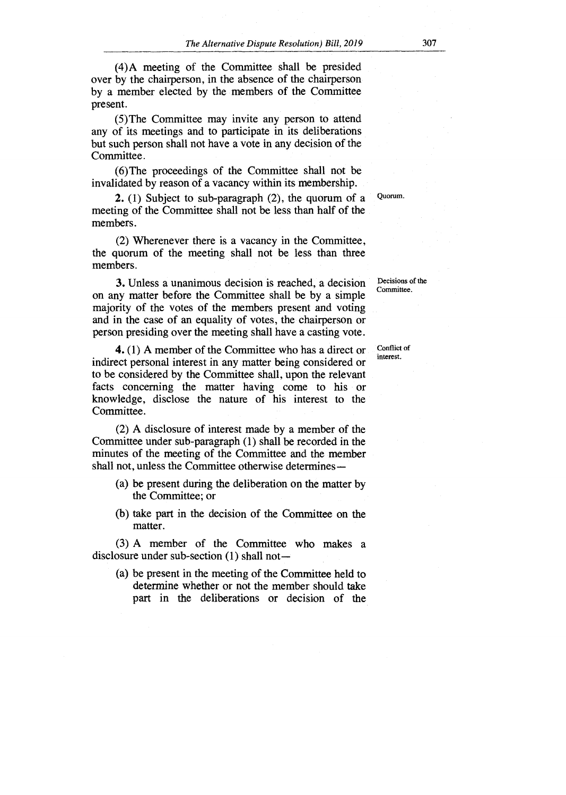(4)A meeting of the Committee shall be presided over by the chairperson, in the absence of the chairperson by a member elected by the members of the Committee present.

(5)The Committee may invite any person to attend any of its meetings and to participate in its deliberations but such person shall not have a vote in any decision of the Committee.

(6)The proceedings of the Committee shall not be invalidated by reason of a vacancy within its membership.

2. (1) Subject to sub-paragraph (2), the quorum of a meeting of the Committee shall not be less than half of the members.

(2) Wherenever there is a vacancy in the Committee, the quorum of the meeting shall not be less than three members.

3. Unless a unanimous decision is reached, a decision on any matter before the Committee shall be by a simple majority of the votes of the members present and voting and in the case of an equality of votes, the chairperson or person presiding over the meeting shall have a casting vote.

4. (1) A member of the Committee who has a direct or indirect personal interest in any matter being considered or to be considered by the Committee shall, upon the relevant facts concerning the matter having come to his or knowledge, disclose the nature of his interest to the Committee.

(2) A disclosure of interest made by a member of the Committee under sub-paragraph (1) shall be recorded in the minutes of the meeting of the Committee and the member shall not, unless the Committee otherwise determines—

- (a) be present during the deliberation on the matter by the Committee; or
- (b) take part in the decision of the Committee on the matter.

(3) A member of the Committee who makes a disclosure under sub-section (1) shall not—

(a) be present in the meeting of the Committee held to determine whether or not the member should take part in the deliberations or decision of the

Decisions of the Committee.

Quorum.

Conflict of interest.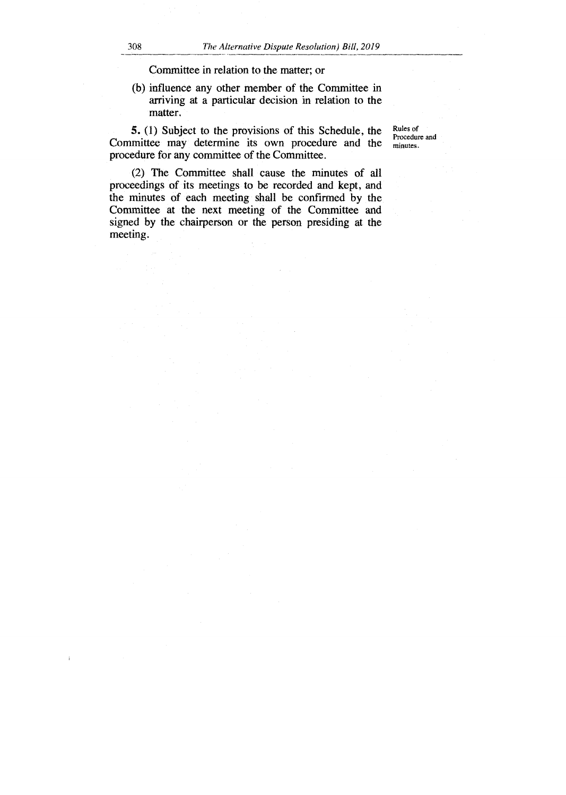Committee in relation to the matter; or

(b) influence any other member of the Committee in arriving at a particular decision in relation to the matter.

**5.** (1) Subject to the provisions of this Schedule, the Committee may determine its own procedure and the procedure for any committee of the Committee.

Rules of Procedure and minutes.

(2) The Committee shall cause the minutes of all proceedings of its meetings to be recorded and kept, and the minutes of each meeting shall be confirmed by the Committee at the next meeting of the Committee and signed by the chairperson or the person presiding at the meeting.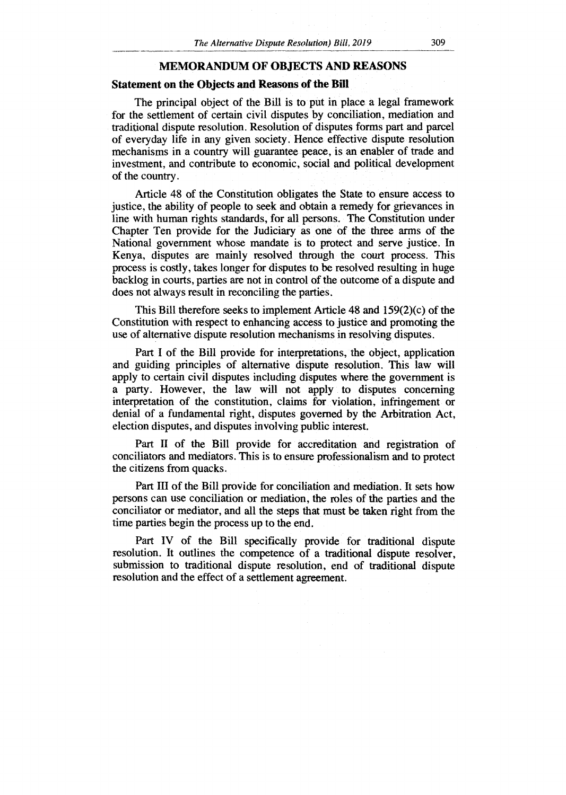#### **MEMORANDUM OF OBJECTS AND REASONS**

#### **Statement on the Objects and Reasons of the Bill**

The principal object of the Bill is to put in place a legal framework for the settlement of certain civil disputes by conciliation, mediation and traditional dispute resolution. Resolution of disputes forms part and parcel of everyday life in any given society. Hence effective dispute resolution mechanisms in a country will guarantee peace, is an enabler of trade and investment, and contribute to economic, social and political development of the country.

Article 48 of the Constitution obligates the State to ensure access to justice, the ability of people to seek and obtain a remedy for grievances in line with human rights standards, for all persons. The Constitution under Chapter Ten provide for the Judiciary as one of the three arms of the National government whose mandate is to protect and serve justice. In Kenya, disputes are mainly resolved through the court process. This process is costly, takes longer for disputes to be resolved resulting in huge backlog in courts, parties are not in control of the outcome of a dispute and does not always result in reconciling the parties.

This Bill therefore seeks to implement Article 48 and 159(2)(c) of the Constitution with respect to enhancing access to justice and promoting the use of alternative dispute resolution mechanisms in resolving disputes.

Part I of the Bill provide for interpretations, the object, application and guiding principles of alternative dispute resolution. This law will apply to certain civil disputes including disputes where the government is a party. However, the law will not apply to disputes concerning interpretation of the constitution, claims for violation, infringement or denial of a fundamental right, disputes governed by the Arbitration Act, election disputes, and disputes involving public interest.

Part **II** of the Bill provide for accreditation and registration of conciliators and mediators. This is to ensure professionalism and to protect the citizens from quacks.

Part III of the Bill provide for conciliation and mediation. It sets how persons can use conciliation or mediation, the roles of the parties and the conciliator or mediator, and all the steps that must be taken right from the time parties begin the process up to the end.

Part IV of the Bill specifically provide for traditional dispute resolution. It outlines the competence of a traditional dispute resolver, submission to traditional dispute resolution, end of traditional dispute resolution and the effect of a settlement agreement.